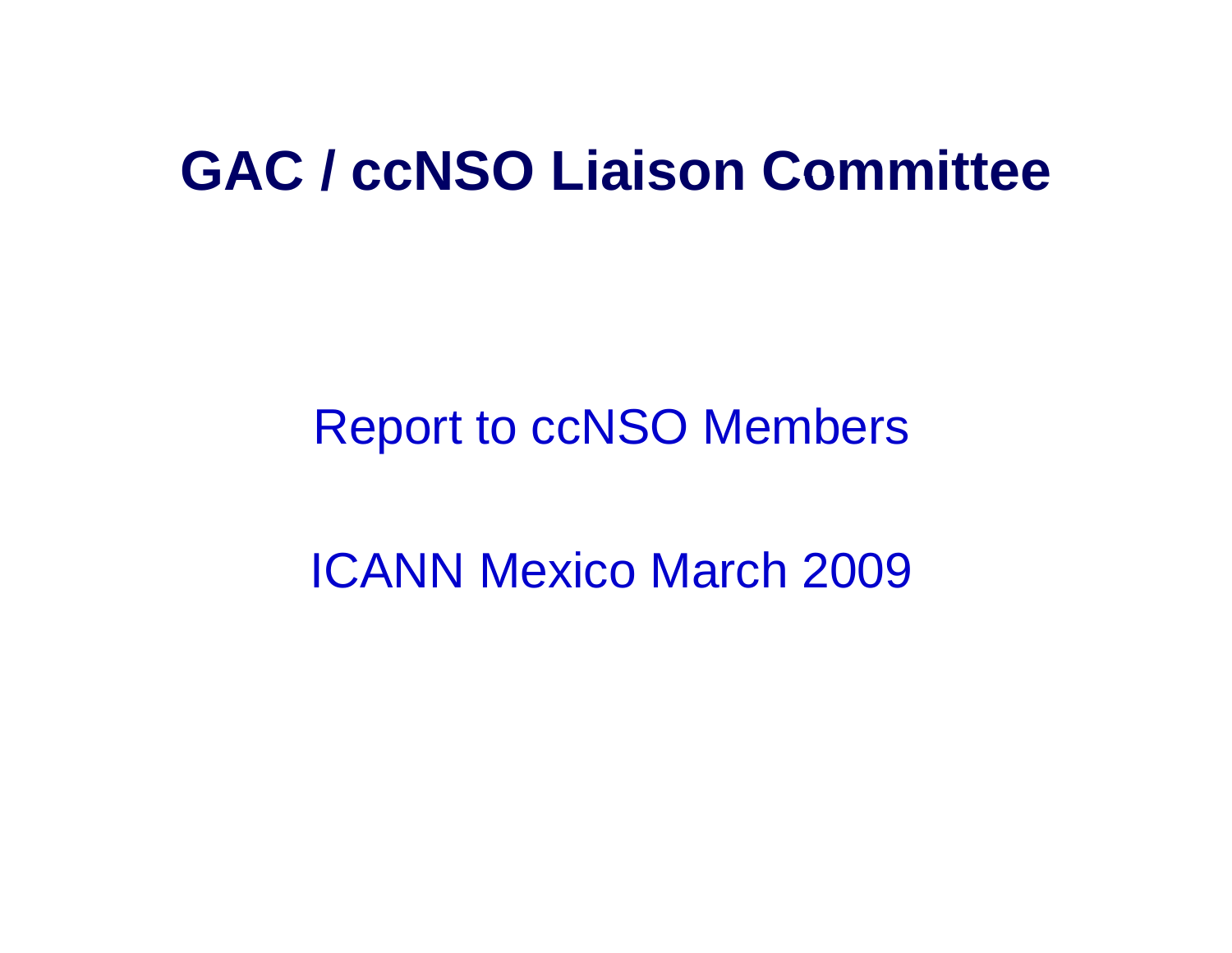#### **GAC / ccNSO Liaison Committee**

### Report to ccNSO Members

ICANN Mexico March 2009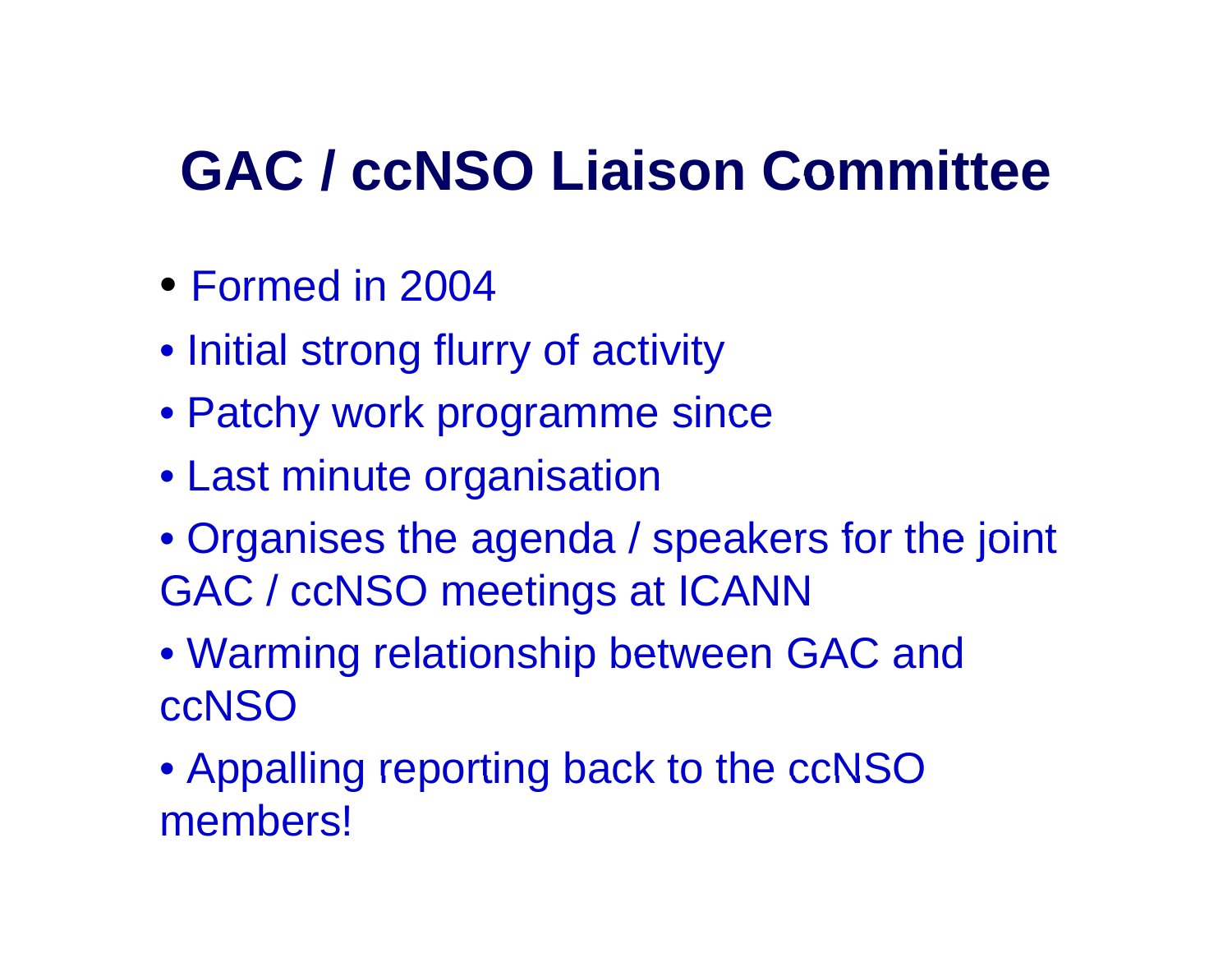#### **GAC / ccNSO Liaison Committee**

- Formed in 2004
- Initial strong flurry of activity
- Patchy work programme since
- Last minute organisation
- Organises the agenda / speakers for the joint GAC / ccNSO meetings at ICANN
- Warming relationship between GAC and ccNSO
- Appalling reporting back to the ccNSO members!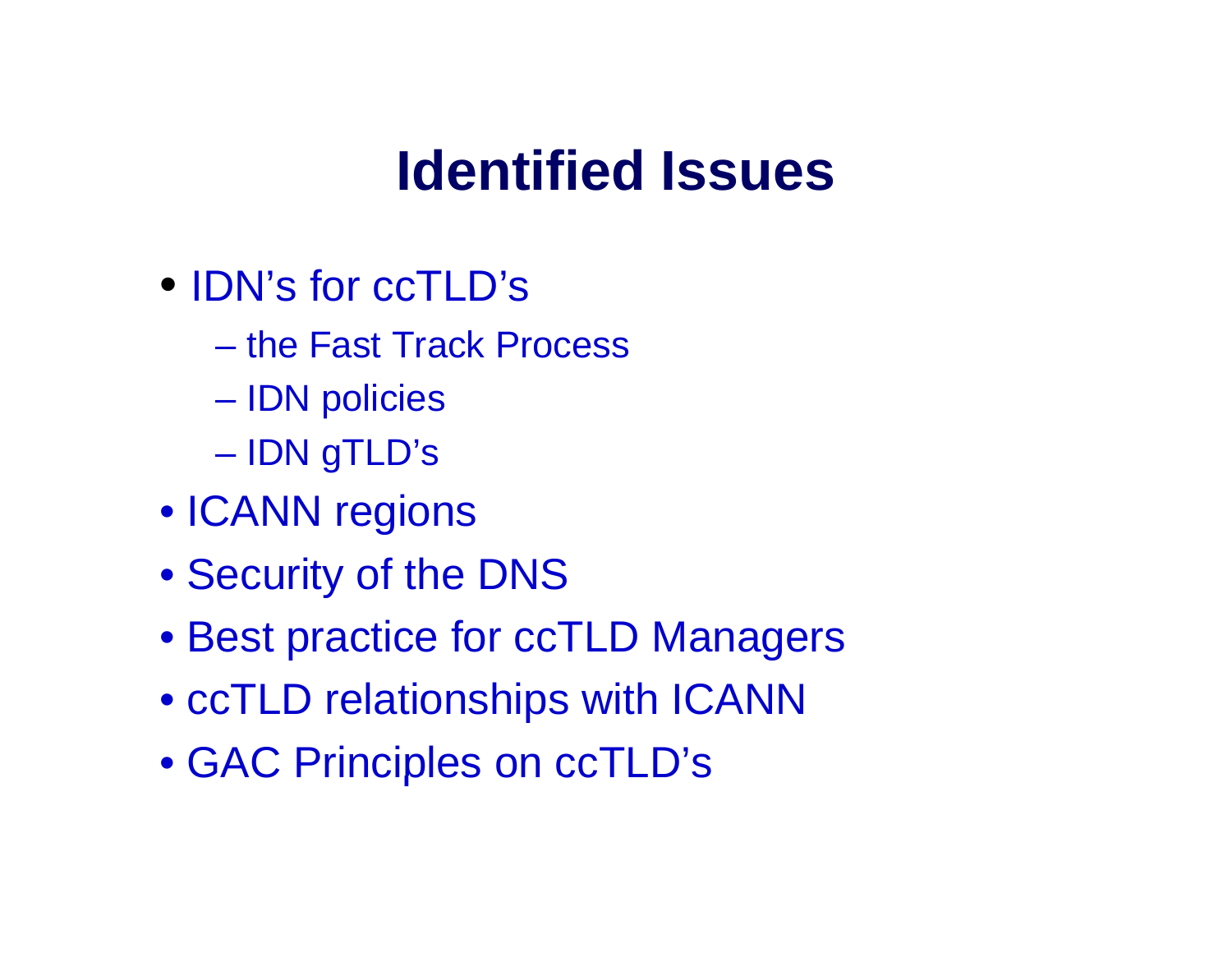## **Identified Issues**

- $\bullet$  IDN's for  $ccTLD$ 's
	- the Fast Track Process
	- IDN policies
	- **Land Communication** IDN gTLD's
- ICANN regions
- Security of the DNS
- Best practice for ccTLD Managers
- ccTLD relationships with ICANN
- GAC Principles on ccTLD's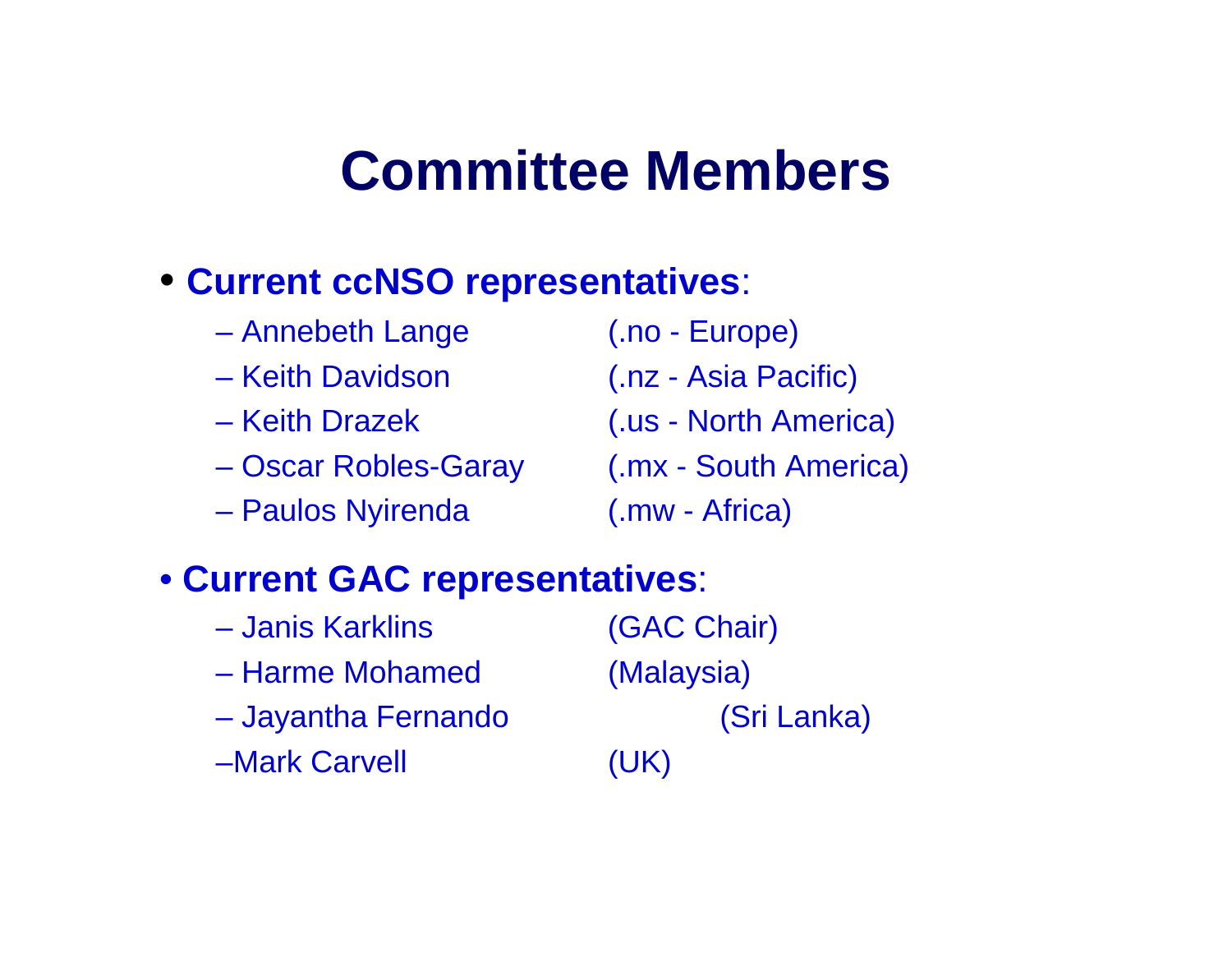### **Committee Members**

### • **Current ccNSO re presentatives**:

- $\mathcal{A}=\{x_1,\ldots,x_n\}$ Annebeth Lange (.no - Europe)
- Keith Davidson
- Keith Drazek
- –
- $\mathcal{A}=\{x_1,\ldots,x_n\}$ Paulos Nyirenda (.mw - Africa)

- Keith Davidson Davidson (.nz Asia Pacific)
- zek (.us North America)
- Oscar Robles-Garay (.mx South America)
	-

### • **Current GAC representatives**:

| - Janis Karklins    | (GAC Chair) |
|---------------------|-------------|
| - Harme Mohamed     | (Malaysia)  |
| - Jayantha Fernando | (Sri Lanka) |
| -Mark Carvell       | (UK)        |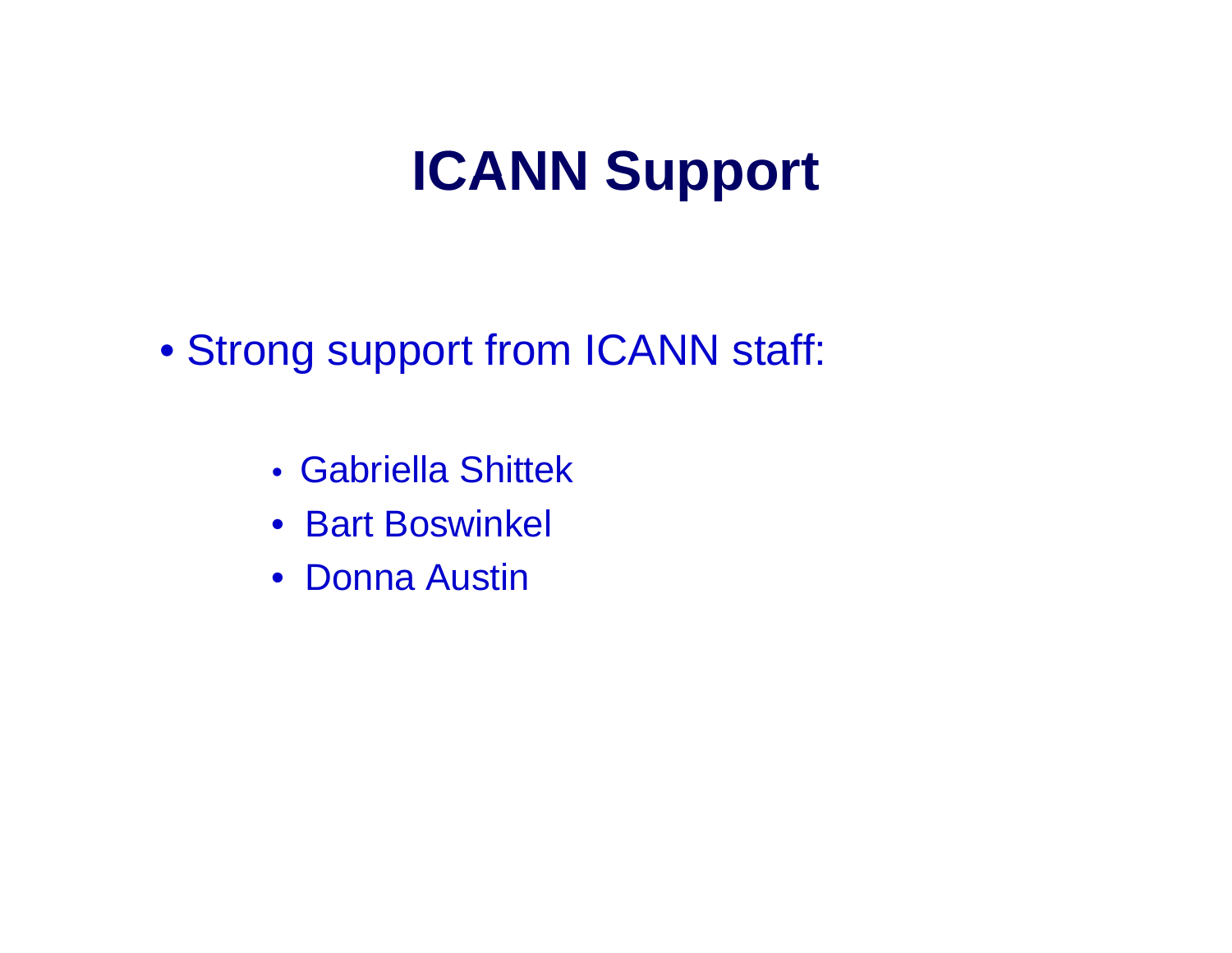# **ICANN Support ICANN**

• Strong support from ICANN staff:

- Gabriella Shittek
- Bart Boswinkel
- Donna Austin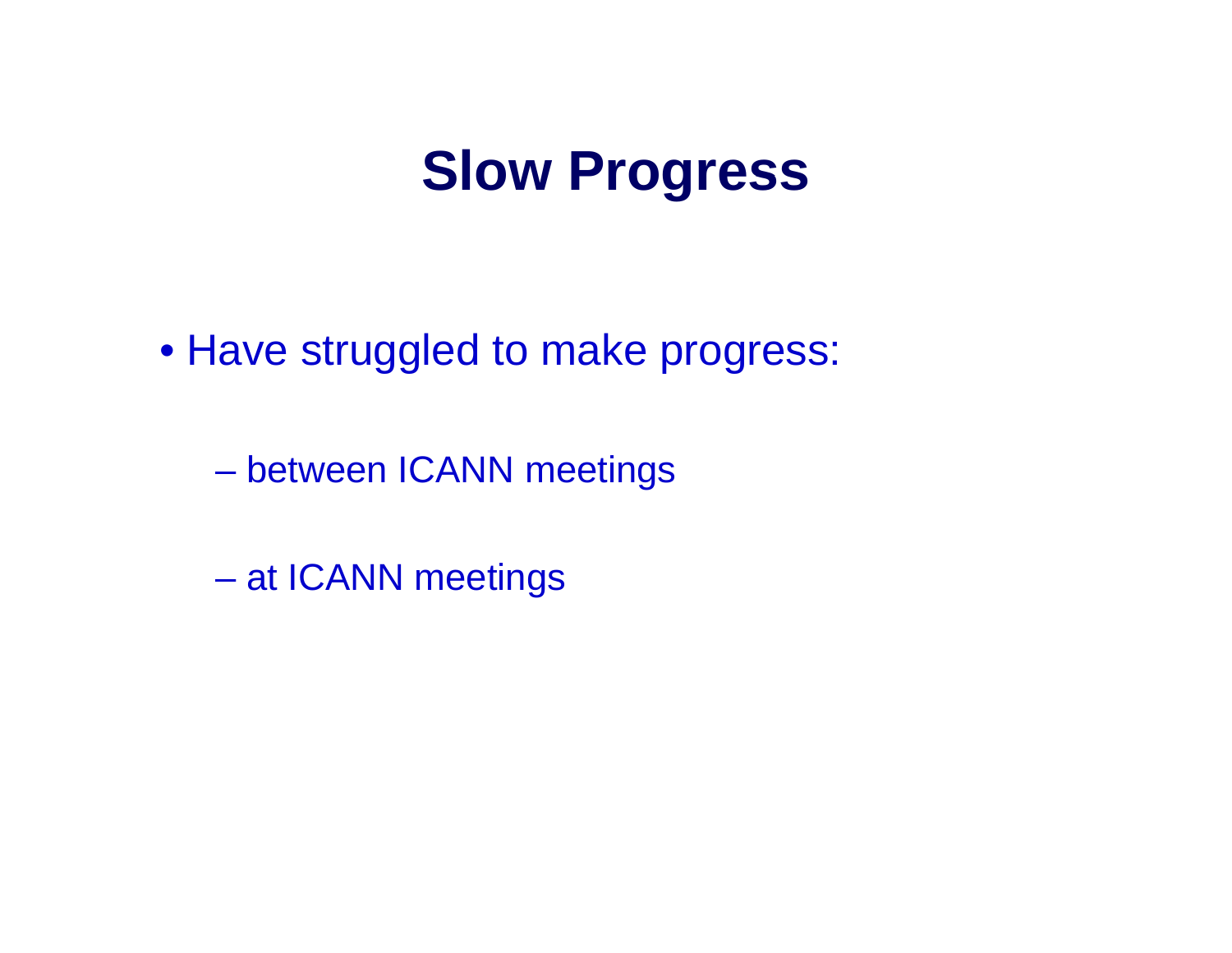## **Slow Progress**

• Have struggled to make progress:

**Hart Committee** between ICANN meetings

**Land Communication** at ICANN meetings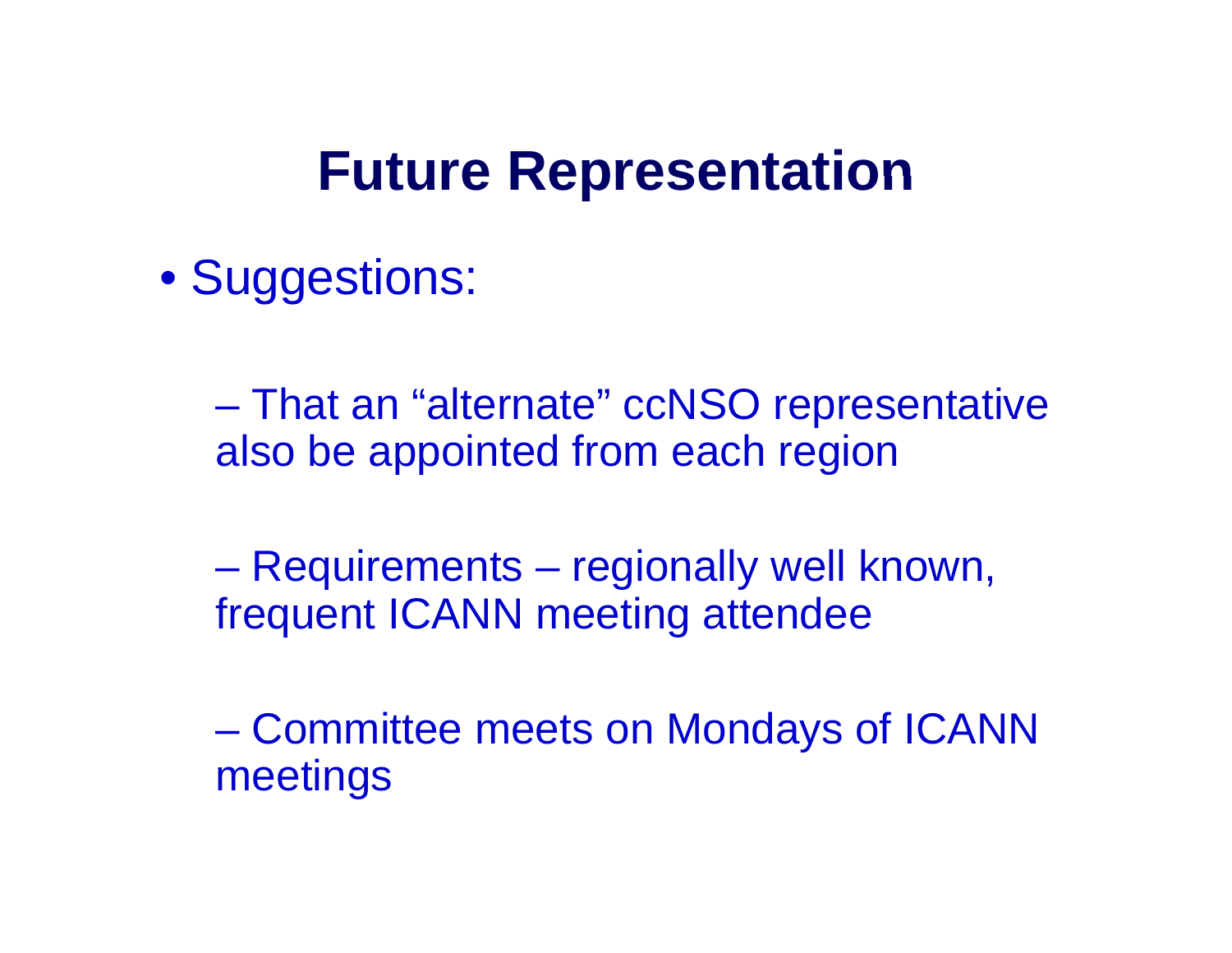### **Future Representation**

• Suggestions:

– That an "alternate" ccNSO representative also be appointed from each region

**Line Community**  Requirements – regionally well known, frequent ICANN meeting attendee

**Line Community**  Committee meets on Mondays of ICANN meetings